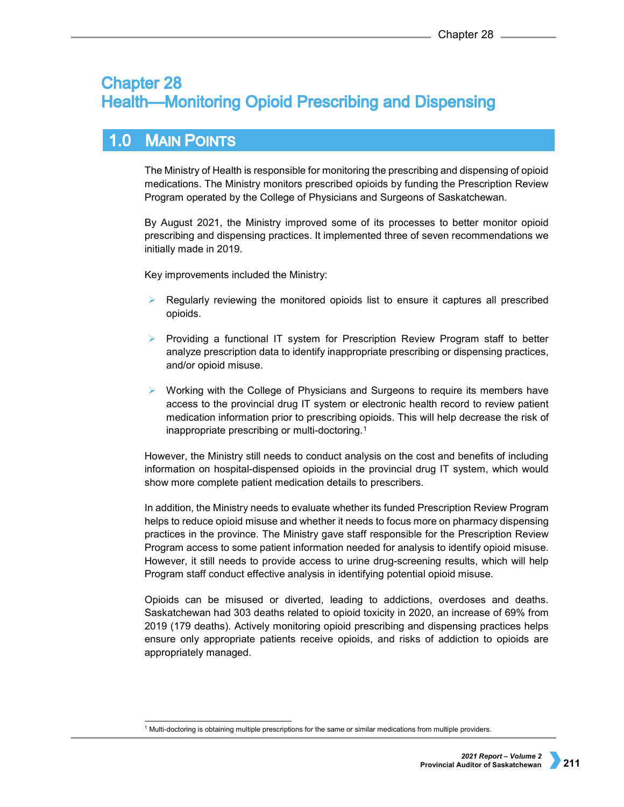# **Chapter 28 Health-Monitoring Opioid Prescribing and Dispensing**

#### **MAIN POINTS**  $1.0$

The Ministry of Health is responsible for monitoring the prescribing and dispensing of opioid medications. The Ministry monitors prescribed opioids by funding the Prescription Review Program operated by the College of Physicians and Surgeons of Saskatchewan.

By August 2021, the Ministry improved some of its processes to better monitor opioid prescribing and dispensing practices. It implemented three of seven recommendations we initially made in 2019.

Key improvements included the Ministry:

- Regularly reviewing the monitored opioids list to ensure it captures all prescribed opioids.
- $\triangleright$  Providing a functional IT system for Prescription Review Program staff to better analyze prescription data to identify inappropriate prescribing or dispensing practices, and/or opioid misuse.
- Working with the College of Physicians and Surgeons to require its members have access to the provincial drug IT system or electronic health record to review patient medication information prior to prescribing opioids. This will help decrease the risk of inappropriate prescribing or multi-doctoring.[1](#page-0-0)

However, the Ministry still needs to conduct analysis on the cost and benefits of including information on hospital-dispensed opioids in the provincial drug IT system, which would show more complete patient medication details to prescribers.

In addition, the Ministry needs to evaluate whether its funded Prescription Review Program helps to reduce opioid misuse and whether it needs to focus more on pharmacy dispensing practices in the province. The Ministry gave staff responsible for the Prescription Review Program access to some patient information needed for analysis to identify opioid misuse. However, it still needs to provide access to urine drug-screening results, which will help Program staff conduct effective analysis in identifying potential opioid misuse.

Opioids can be misused or diverted, leading to addictions, overdoses and deaths. Saskatchewan had 303 deaths related to opioid toxicity in 2020, an increase of 69% from 2019 (179 deaths). Actively monitoring opioid prescribing and dispensing practices helps ensure only appropriate patients receive opioids, and risks of addiction to opioids are appropriately managed.

<span id="page-0-0"></span> $1$  Multi-doctoring is obtaining multiple prescriptions for the same or similar medications from multiple providers.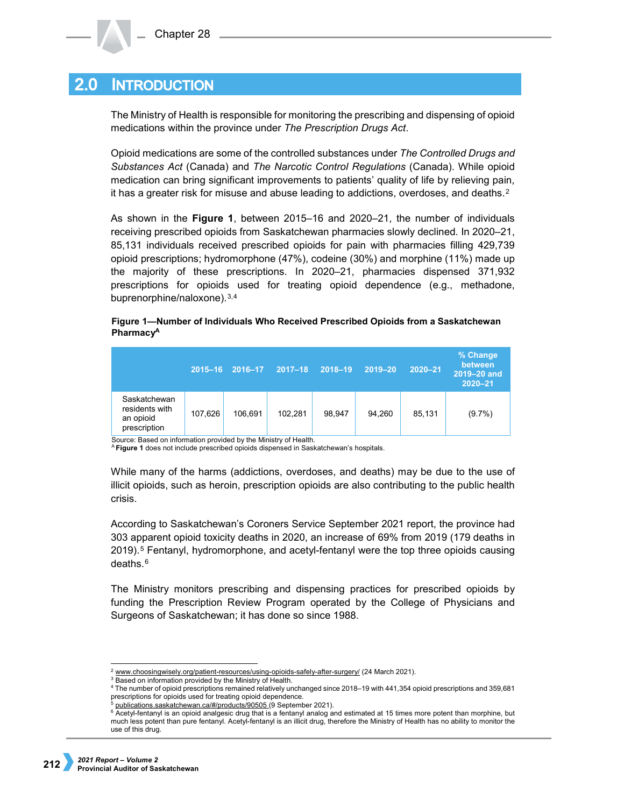#### **INTRODUCTION**  $2.0<sub>l</sub>$

The Ministry of Health is responsible for monitoring the prescribing and dispensing of opioid medications within the province under *The Prescription Drugs Act*.

Opioid medications are some of the controlled substances under *The Controlled Drugs and Substances Act* (Canada) and *The Narcotic Control Regulations* (Canada). While opioid medication can bring significant improvements to patients' quality of life by relieving pain, it has a greater risk for misuse and abuse leading to addictions, overdoses, and deaths. $2$ 

As shown in the **Figure 1**, between 2015–16 and 2020–21, the number of individuals receiving prescribed opioids from Saskatchewan pharmacies slowly declined. In 2020–21, 85,131 individuals received prescribed opioids for pain with pharmacies filling 429,739 opioid prescriptions; hydromorphone (47%), codeine (30%) and morphine (11%) made up the majority of these prescriptions. In 2020–21, pharmacies dispensed 371,932 prescriptions for opioids used for treating opioid dependence (e.g., methadone, buprenorphine/naloxone).[3,](#page-1-1)[4](#page-1-2)

### **Figure 1—Number of Individuals Who Received Prescribed Opioids from a Saskatchewan PharmacyA**

|                                                             | $2015 - 16$ | 2016-17 | $2017 - 18$ | 2018-19 | 2019-20 | $2020 - 21$ | % Change<br>between<br>2019-20 and<br>$2020 - 21$ |
|-------------------------------------------------------------|-------------|---------|-------------|---------|---------|-------------|---------------------------------------------------|
| Saskatchewan<br>residents with<br>an opioid<br>prescription | 107.626     | 106.691 | 102.281     | 98.947  | 94.260  | 85,131      | $(9.7\%)$                                         |

Source: Based on information provided by the Ministry of Health.

<sup>A</sup> **Figure 1** does not include prescribed opioids dispensed in Saskatchewan's hospitals.

While many of the harms (addictions, overdoses, and deaths) may be due to the use of illicit opioids, such as heroin, prescription opioids are also contributing to the public health crisis.

According to Saskatchewan's Coroners Service September 2021 report, the province had 303 apparent opioid toxicity deaths in 2020, an increase of 69% from 2019 (179 deaths in 2019).[5](#page-1-3) Fentanyl, hydromorphone, and acetyl-fentanyl were the top three opioids causing deaths.[6](#page-1-4)

The Ministry monitors prescribing and dispensing practices for prescribed opioids by funding the Prescription Review Program operated by the College of Physicians and Surgeons of Saskatchewan; it has done so since 1988.

[www.choosingwisely.org/patient-resources/using-opioids-safely-after-surgery/](http://www.choosingwisely.org/patient-resources/using-opioids-safely-after-surgery/) (24 March 2021).

<span id="page-1-1"></span><span id="page-1-0"></span><sup>&</sup>lt;sup>3</sup> Based on information provided by the Ministry of Health.

<span id="page-1-2"></span><sup>4</sup> The number of opioid prescriptions remained relatively unchanged since 2018–19 with 441,354 opioid prescriptions and 359,681 prescriptions for opioids used for treating opioid dependence.

[publications.saskatchewan.ca/#/products/90505](https://publications.saskatchewan.ca/#/products/90505) (9 September 2021).

<span id="page-1-4"></span><span id="page-1-3"></span><sup>6</sup> Acetyl-fentanyl is an opioid analgesic drug that is a fentanyl analog and estimated at 15 times more potent than morphine, but much less potent than pure fentanyl. Acetyl-fentanyl is an illicit drug, therefore the Ministry of Health has no ability to monitor the use of this drug.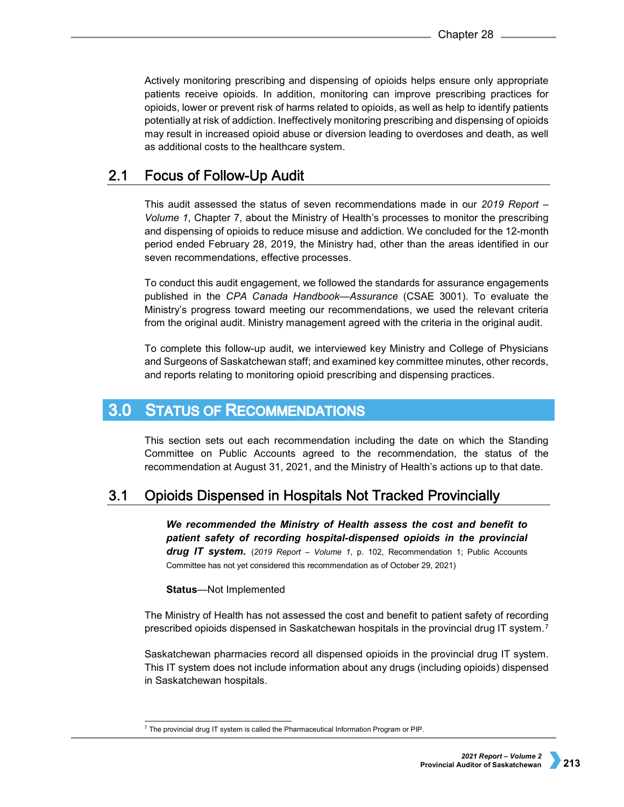Actively monitoring prescribing and dispensing of opioids helps ensure only appropriate patients receive opioids. In addition, monitoring can improve prescribing practices for opioids, lower or prevent risk of harms related to opioids, as well as help to identify patients potentially at risk of addiction. Ineffectively monitoring prescribing and dispensing of opioids may result in increased opioid abuse or diversion leading to overdoses and death, as well as additional costs to the healthcare system.

#### $2.1$ **Focus of Follow-Up Audit**

This audit assessed the status of seven recommendations made in our *2019 Report – Volume 1*, Chapter 7, about the Ministry of Health's processes to monitor the prescribing and dispensing of opioids to reduce misuse and addiction. We concluded for the 12-month period ended February 28, 2019, the Ministry had, other than the areas identified in our seven recommendations, effective processes.

To conduct this audit engagement, we followed the standards for assurance engagements published in the *CPA Canada Handbook—Assurance* (CSAE 3001). To evaluate the Ministry's progress toward meeting our recommendations, we used the relevant criteria from the original audit. Ministry management agreed with the criteria in the original audit.

To complete this follow-up audit, we interviewed key Ministry and College of Physicians and Surgeons of Saskatchewan staff; and examined key committee minutes, other records, and reports relating to monitoring opioid prescribing and dispensing practices.

#### $3.0$ **STATUS OF RECOMMENDATIONS**

This section sets out each recommendation including the date on which the Standing Committee on Public Accounts agreed to the recommendation, the status of the recommendation at August 31, 2021, and the Ministry of Health's actions up to that date.

#### $3.1$ **Opioids Dispensed in Hospitals Not Tracked Provincially**

*We recommended the Ministry of Health assess the cost and benefit to patient safety of recording hospital-dispensed opioids in the provincial drug IT system.* (*2019 Report – Volume 1*, p. 102, Recommendation 1; Public Accounts Committee has not yet considered this recommendation as of October 29, 2021)

**Status**—Not Implemented

The Ministry of Health has not assessed the cost and benefit to patient safety of recording prescribed opioids dispensed in Saskatchewan hospitals in the provincial drug IT system.[7](#page-2-0)

Saskatchewan pharmacies record all dispensed opioids in the provincial drug IT system. This IT system does not include information about any drugs (including opioids) dispensed in Saskatchewan hospitals.

<span id="page-2-0"></span> $7$  The provincial drug IT system is called the Pharmaceutical Information Program or PIP.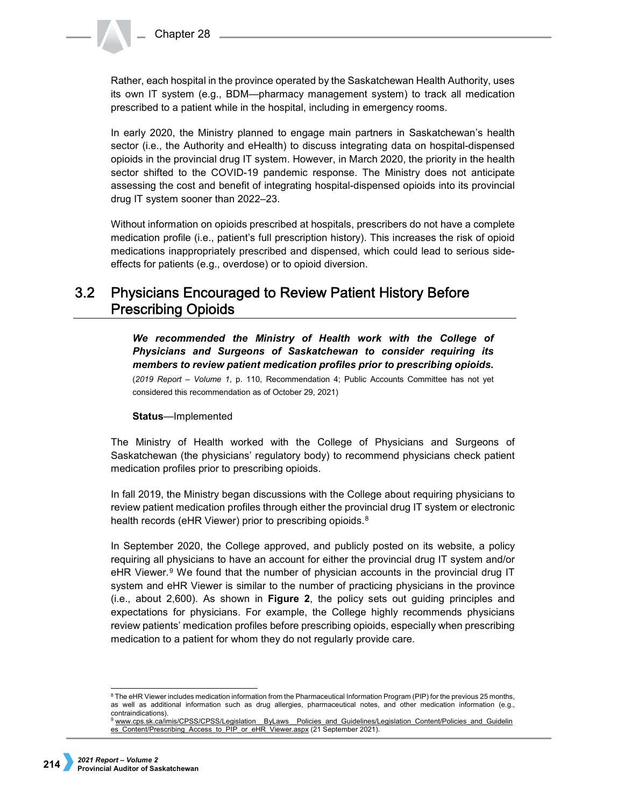Rather, each hospital in the province operated by the Saskatchewan Health Authority, uses its own IT system (e.g., BDM—pharmacy management system) to track all medication prescribed to a patient while in the hospital, including in emergency rooms.

In early 2020, the Ministry planned to engage main partners in Saskatchewan's health sector (i.e., the Authority and eHealth) to discuss integrating data on hospital-dispensed opioids in the provincial drug IT system. However, in March 2020, the priority in the health sector shifted to the COVID-19 pandemic response. The Ministry does not anticipate assessing the cost and benefit of integrating hospital-dispensed opioids into its provincial drug IT system sooner than 2022–23.

Without information on opioids prescribed at hospitals, prescribers do not have a complete medication profile (i.e., patient's full prescription history). This increases the risk of opioid medications inappropriately prescribed and dispensed, which could lead to serious sideeffects for patients (e.g., overdose) or to opioid diversion.

### **Physicians Encouraged to Review Patient History Before**  $3.2$ **Prescribing Opioids**

*We recommended the Ministry of Health work with the College of Physicians and Surgeons of Saskatchewan to consider requiring its members to review patient medication profiles prior to prescribing opioids.*  (*2019 Report – Volume 1*, p. 110, Recommendation 4; Public Accounts Committee has not yet considered this recommendation as of October 29, 2021)

# **Status**—Implemented

The Ministry of Health worked with the College of Physicians and Surgeons of Saskatchewan (the physicians' regulatory body) to recommend physicians check patient medication profiles prior to prescribing opioids.

In fall 2019, the Ministry began discussions with the College about requiring physicians to review patient medication profiles through either the provincial drug IT system or electronic health records (eHR Viewer) prior to prescribing opioids.<sup>8</sup>

In September 2020, the College approved, and publicly posted on its website, a policy requiring all physicians to have an account for either the provincial drug IT system and/or eHR Viewer.<sup>[9](#page-3-1)</sup> We found that the number of physician accounts in the provincial drug IT system and eHR Viewer is similar to the number of practicing physicians in the province (i.e., about 2,600). As shown in **Figure 2**, the policy sets out guiding principles and expectations for physicians. For example, the College highly recommends physicians review patients' medication profiles before prescribing opioids, especially when prescribing medication to a patient for whom they do not regularly provide care.

<span id="page-3-0"></span><sup>&</sup>lt;sup>8</sup> The eHR Viewer includes medication information from the Pharmaceutical Information Program (PIP) for the previous 25 months, as well as additional information such as drug allergies, pharmaceutical notes, and other medication information (e.g., contraindications).

<span id="page-3-1"></span><sup>9</sup> www.cps.sk.ca/imis/CPSS/CPSS/Legislation\_ByLaws\_Policies\_and\_Guidelines/Legislation\_Content/Policies\_and\_Guidelin [es\\_Content/Prescribing\\_Access\\_to\\_PIP\\_or\\_eHR\\_Viewer.aspx](http://www.cps.sk.ca/imis/CPSS/CPSS/Legislation__ByLaws__Policies_and_Guidelines/Legislation_Content/Policies_and_Guidelines_Content/Prescribing_Access_to_PIP_or_eHR_Viewer.aspx) (21 September 2021).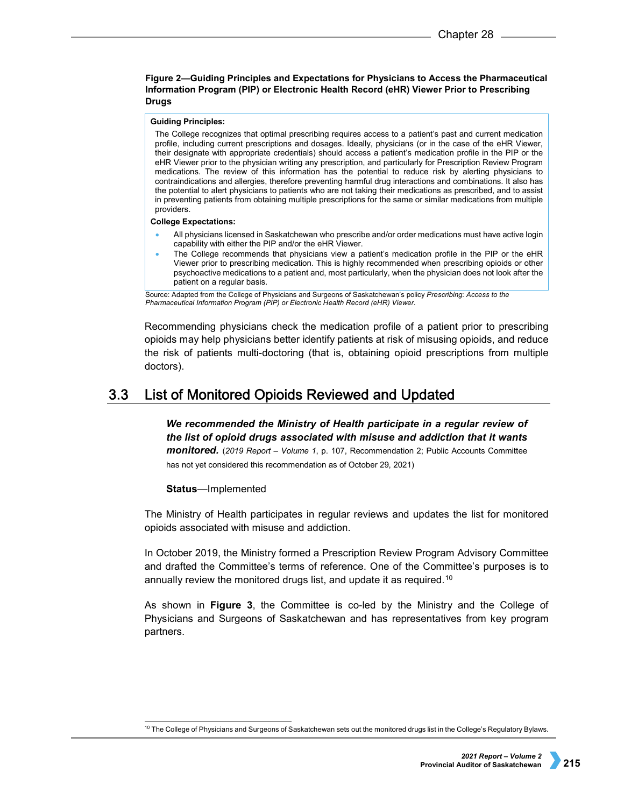## **Figure 2—Guiding Principles and Expectations for Physicians to Access the Pharmaceutical Information Program (PIP) or Electronic Health Record (eHR) Viewer Prior to Prescribing Drugs**

### **Guiding Principles:**

The College recognizes that optimal prescribing requires access to a patient's past and current medication profile, including current prescriptions and dosages. Ideally, physicians (or in the case of the eHR Viewer, their designate with appropriate credentials) should access a patient's medication profile in the PIP or the eHR Viewer prior to the physician writing any prescription, and particularly for Prescription Review Program medications. The review of this information has the potential to reduce risk by alerting physicians to contraindications and allergies, therefore preventing harmful drug interactions and combinations. It also has the potential to alert physicians to patients who are not taking their medications as prescribed, and to assist in preventing patients from obtaining multiple prescriptions for the same or similar medications from multiple providers.

### **College Expectations:**

- All physicians licensed in Saskatchewan who prescribe and/or order medications must have active login capability with either the PIP and/or the eHR Viewer.
- The College recommends that physicians view a patient's medication profile in the PIP or the eHR Viewer prior to prescribing medication. This is highly recommended when prescribing opioids or other psychoactive medications to a patient and, most particularly, when the physician does not look after the patient on a regular basis.

Source: Adapted from the College of Physicians and Surgeons of Saskatchewan's policy *Prescribing: Access to the Pharmaceutical Information Program (PIP) or Electronic Health Record (eHR) Viewer*.

Recommending physicians check the medication profile of a patient prior to prescribing opioids may help physicians better identify patients at risk of misusing opioids, and reduce the risk of patients multi-doctoring (that is, obtaining opioid prescriptions from multiple doctors).

#### List of Monitored Opioids Reviewed and Updated  $3.3<sub>2</sub>$

*We recommended the Ministry of Health participate in a regular review of the list of opioid drugs associated with misuse and addiction that it wants monitored.* (*2019 Report – Volume 1*, p. 107, Recommendation 2; Public Accounts Committee has not yet considered this recommendation as of October 29, 2021)

### **Status**—Implemented

The Ministry of Health participates in regular reviews and updates the list for monitored opioids associated with misuse and addiction.

In October 2019, the Ministry formed a Prescription Review Program Advisory Committee and drafted the Committee's terms of reference. One of the Committee's purposes is to annually review the monitored drugs list, and update it as required.<sup>[10](#page-4-0)</sup>

As shown in **Figure 3**, the Committee is co-led by the Ministry and the College of Physicians and Surgeons of Saskatchewan and has representatives from key program partners.

<span id="page-4-0"></span> $10$  The College of Physicians and Surgeons of Saskatchewan sets out the monitored drugs list in the College's Regulatory Bylaws.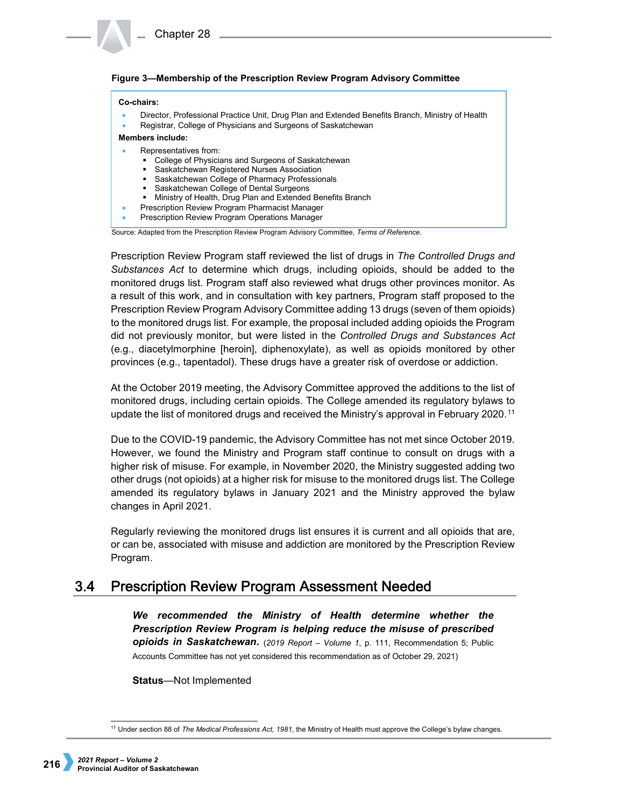# **Figure 3—Membership of the Prescription Review Program Advisory Committee**

### **Co-chairs:**

- Director, Professional Practice Unit, Drug Plan and Extended Benefits Branch, Ministry of Health
- Registrar, College of Physicians and Surgeons of Saskatchewan

**Members include:**

- Representatives from:
	- College of Physicians and Surgeons of Saskatchewan
	- **Saskatchewan Registered Nurses Association**
	- Saskatchewan College of Pharmacy Professionals
	- Saskatchewan College of Dental Surgeons
	- **Ministry of Health, Drug Plan and Extended Benefits Branch**
- Prescription Review Program Pharmacist Manager
- Prescription Review Program Operations Manager

Source: Adapted from the Prescription Review Program Advisory Committee, *Terms of Reference*.

Prescription Review Program staff reviewed the list of drugs in *The Controlled Drugs and Substances Act* to determine which drugs, including opioids, should be added to the monitored drugs list. Program staff also reviewed what drugs other provinces monitor. As a result of this work, and in consultation with key partners, Program staff proposed to the Prescription Review Program Advisory Committee adding 13 drugs (seven of them opioids) to the monitored drugs list. For example, the proposal included adding opioids the Program did not previously monitor, but were listed in the *Controlled Drugs and Substances Act* (e.g., diacetylmorphine [heroin], diphenoxylate), as well as opioids monitored by other provinces (e.g., tapentadol). These drugs have a greater risk of overdose or addiction.

At the October 2019 meeting, the Advisory Committee approved the additions to the list of monitored drugs, including certain opioids. The College amended its regulatory bylaws to update the list of monitored drugs and received the Ministry's approval in February 2020.[11](#page-5-0)

Due to the COVID-19 pandemic, the Advisory Committee has not met since October 2019. However, we found the Ministry and Program staff continue to consult on drugs with a higher risk of misuse. For example, in November 2020, the Ministry suggested adding two other drugs (not opioids) at a higher risk for misuse to the monitored drugs list. The College amended its regulatory bylaws in January 2021 and the Ministry approved the bylaw changes in April 2021.

Regularly reviewing the monitored drugs list ensures it is current and all opioids that are, or can be, associated with misuse and addiction are monitored by the Prescription Review Program.

#### $3.4$ **Prescription Review Program Assessment Needed**

*We recommended the Ministry of Health determine whether the Prescription Review Program is helping reduce the misuse of prescribed opioids in Saskatchewan.* (*2019 Report – Volume 1*, p. 111, Recommendation 5; Public Accounts Committee has not yet considered this recommendation as of October 29, 2021)

**Status**—Not Implemented

<span id="page-5-0"></span> <sup>11</sup> Under section 88 of *The Medical Professions Act, 1981*, the Ministry of Health must approve the College's bylaw changes.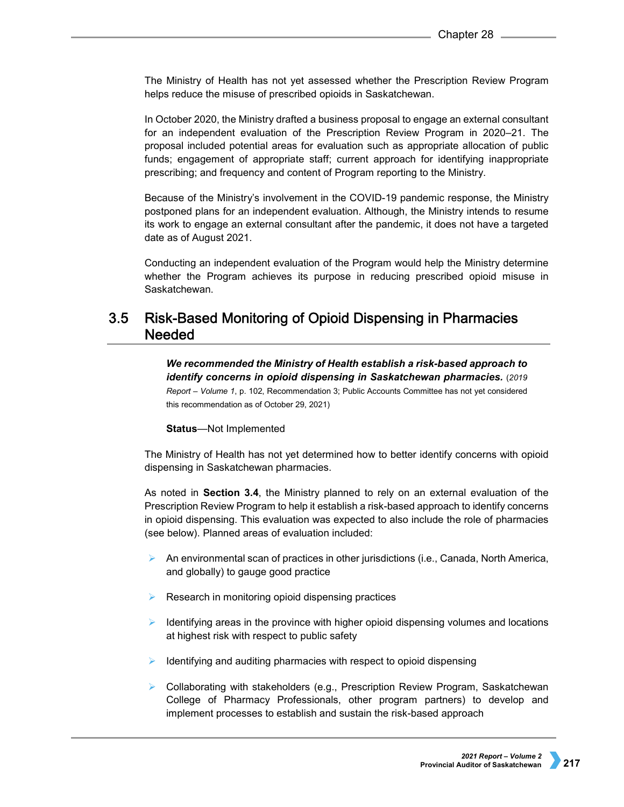The Ministry of Health has not yet assessed whether the Prescription Review Program helps reduce the misuse of prescribed opioids in Saskatchewan.

In October 2020, the Ministry drafted a business proposal to engage an external consultant for an independent evaluation of the Prescription Review Program in 2020–21. The proposal included potential areas for evaluation such as appropriate allocation of public funds; engagement of appropriate staff; current approach for identifying inappropriate prescribing; and frequency and content of Program reporting to the Ministry.

Because of the Ministry's involvement in the COVID-19 pandemic response, the Ministry postponed plans for an independent evaluation. Although, the Ministry intends to resume its work to engage an external consultant after the pandemic, it does not have a targeted date as of August 2021.

Conducting an independent evaluation of the Program would help the Ministry determine whether the Program achieves its purpose in reducing prescribed opioid misuse in Saskatchewan.

### $3.5$ Risk-Based Monitoring of Opioid Dispensing in Pharmacies **Needed**

*We recommended the Ministry of Health establish a risk-based approach to identify concerns in opioid dispensing in Saskatchewan pharmacies.* (*2019* 

*Report – Volume 1*, p. 102, Recommendation 3; Public Accounts Committee has not yet considered this recommendation as of October 29, 2021)

### **Status**—Not Implemented

The Ministry of Health has not yet determined how to better identify concerns with opioid dispensing in Saskatchewan pharmacies.

As noted in **Section 3.4**, the Ministry planned to rely on an external evaluation of the Prescription Review Program to help it establish a risk-based approach to identify concerns in opioid dispensing. This evaluation was expected to also include the role of pharmacies (see below). Planned areas of evaluation included:

- An environmental scan of practices in other jurisdictions (i.e., Canada, North America, and globally) to gauge good practice
- $\triangleright$  Research in monitoring opioid dispensing practices
- $\triangleright$  Identifying areas in the province with higher opioid dispensing volumes and locations at highest risk with respect to public safety
- $\blacktriangleright$  Identifying and auditing pharmacies with respect to opioid dispensing
- ▶ Collaborating with stakeholders (e.g., Prescription Review Program, Saskatchewan College of Pharmacy Professionals, other program partners) to develop and implement processes to establish and sustain the risk-based approach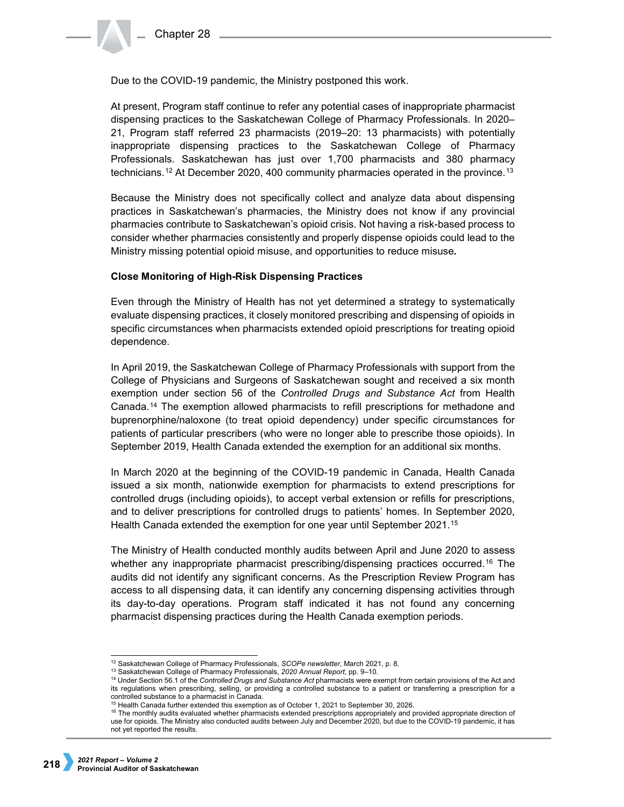Due to the COVID-19 pandemic, the Ministry postponed this work.

At present, Program staff continue to refer any potential cases of inappropriate pharmacist dispensing practices to the Saskatchewan College of Pharmacy Professionals. In 2020– 21, Program staff referred 23 pharmacists (2019–20: 13 pharmacists) with potentially inappropriate dispensing practices to the Saskatchewan College of Pharmacy Professionals. Saskatchewan has just over 1,700 pharmacists and 380 pharmacy technicians.[12](#page-7-0) At December 2020, 400 community pharmacies operated in the province.[13](#page-7-1)

Because the Ministry does not specifically collect and analyze data about dispensing practices in Saskatchewan's pharmacies, the Ministry does not know if any provincial pharmacies contribute to Saskatchewan's opioid crisis. Not having a risk-based process to consider whether pharmacies consistently and properly dispense opioids could lead to the Ministry missing potential opioid misuse, and opportunities to reduce misuse*.*

# **Close Monitoring of High-Risk Dispensing Practices**

Even through the Ministry of Health has not yet determined a strategy to systematically evaluate dispensing practices, it closely monitored prescribing and dispensing of opioids in specific circumstances when pharmacists extended opioid prescriptions for treating opioid dependence.

In April 2019, the Saskatchewan College of Pharmacy Professionals with support from the College of Physicians and Surgeons of Saskatchewan sought and received a six month exemption under section 56 of the *Controlled Drugs and Substance Act* from Health Canada.[14](#page-7-2) The exemption allowed pharmacists to refill prescriptions for methadone and buprenorphine/naloxone (to treat opioid dependency) under specific circumstances for patients of particular prescribers (who were no longer able to prescribe those opioids). In September 2019, Health Canada extended the exemption for an additional six months.

In March 2020 at the beginning of the COVID-19 pandemic in Canada, Health Canada issued a six month, nationwide exemption for pharmacists to extend prescriptions for controlled drugs (including opioids), to accept verbal extension or refills for prescriptions, and to deliver prescriptions for controlled drugs to patients' homes. In September 2020, Health Canada extended the exemption for one year until September 2021.[15](#page-7-3)

The Ministry of Health conducted monthly audits between April and June 2020 to assess whether any inappropriate pharmacist prescribing/dispensing practices occurred.<sup>[16](#page-7-4)</sup> The audits did not identify any significant concerns. As the Prescription Review Program has access to all dispensing data, it can identify any concerning dispensing activities through its day-to-day operations. Program staff indicated it has not found any concerning pharmacist dispensing practices during the Health Canada exemption periods.

<span id="page-7-0"></span> <sup>12</sup> Saskatchewan College of Pharmacy Professionals, *SCOPe newsletter*, March 2021, p. 8.

<sup>13</sup> Saskatchewan College of Pharmacy Professionals, *2020 Annual Report*, pp. 9–10.

<span id="page-7-2"></span><span id="page-7-1"></span><sup>14</sup> Under Section 56.1 of the *Controlled Drugs and Substance Act* pharmacists were exempt from certain provisions of the Act and its regulations when prescribing, selling, or providing a controlled substance to a patient or transferring a prescription for a controlled substance to a pharmacist in Canada.

<sup>&</sup>lt;sup>15</sup> Health Canada further extended this exemption as of October 1, 2021 to September 30, 2026.

<span id="page-7-4"></span><span id="page-7-3"></span><sup>16</sup> The monthly audits evaluated whether pharmacists extended prescriptions appropriately and provided appropriate direction of use for opioids. The Ministry also conducted audits between July and December 2020, but due to the COVID-19 pandemic, it has not yet reported the results.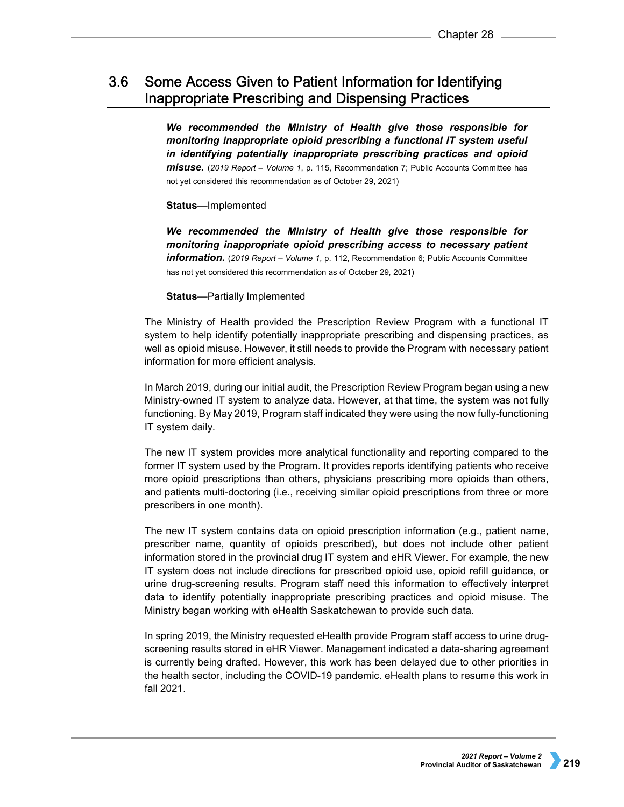### Some Access Given to Patient Information for Identifying  $3.6<sub>1</sub>$ **Inappropriate Prescribing and Dispensing Practices**

*We recommended the Ministry of Health give those responsible for monitoring inappropriate opioid prescribing a functional IT system useful in identifying potentially inappropriate prescribing practices and opioid misuse.* (*2019 Report – Volume 1*, p. 115, Recommendation 7; Public Accounts Committee has not yet considered this recommendation as of October 29, 2021)

# **Status**—Implemented

*We recommended the Ministry of Health give those responsible for monitoring inappropriate opioid prescribing access to necessary patient information.* (*2019 Report – Volume 1*, p. 112, Recommendation 6; Public Accounts Committee has not yet considered this recommendation as of October 29, 2021)

# **Status**—Partially Implemented

The Ministry of Health provided the Prescription Review Program with a functional IT system to help identify potentially inappropriate prescribing and dispensing practices, as well as opioid misuse. However, it still needs to provide the Program with necessary patient information for more efficient analysis.

In March 2019, during our initial audit, the Prescription Review Program began using a new Ministry-owned IT system to analyze data. However, at that time, the system was not fully functioning. By May 2019, Program staff indicated they were using the now fully-functioning IT system daily.

The new IT system provides more analytical functionality and reporting compared to the former IT system used by the Program. It provides reports identifying patients who receive more opioid prescriptions than others, physicians prescribing more opioids than others, and patients multi-doctoring (i.e., receiving similar opioid prescriptions from three or more prescribers in one month).

The new IT system contains data on opioid prescription information (e.g., patient name, prescriber name, quantity of opioids prescribed), but does not include other patient information stored in the provincial drug IT system and eHR Viewer. For example, the new IT system does not include directions for prescribed opioid use, opioid refill guidance, or urine drug-screening results. Program staff need this information to effectively interpret data to identify potentially inappropriate prescribing practices and opioid misuse. The Ministry began working with eHealth Saskatchewan to provide such data.

In spring 2019, the Ministry requested eHealth provide Program staff access to urine drugscreening results stored in eHR Viewer. Management indicated a data-sharing agreement is currently being drafted. However, this work has been delayed due to other priorities in the health sector, including the COVID-19 pandemic. eHealth plans to resume this work in fall 2021.